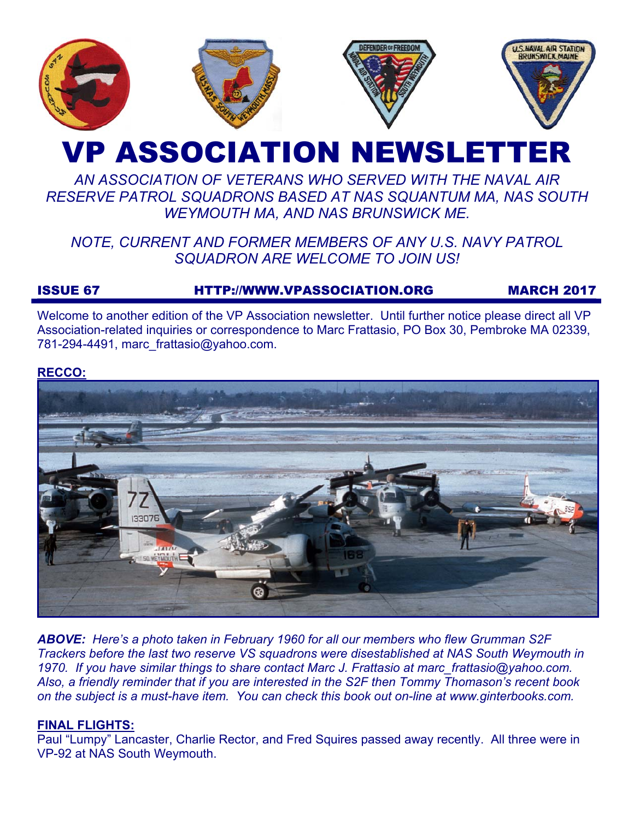

# VP ASSOCIATION NEWSLETTER

# *AN ASSOCIATION OF VETERANS WHO SERVED WITH THE NAVAL AIR RESERVE PATROL SQUADRONS BASED AT NAS SQUANTUM MA, NAS SOUTH WEYMOUTH MA, AND NAS BRUNSWICK ME.*

# *NOTE, CURRENT AND FORMER MEMBERS OF ANY U.S. NAVY PATROL SQUADRON ARE WELCOME TO JOIN US!*

# ISSUE 67 HTTP://WWW.VPASSOCIATION.ORG MARCH 2017

Welcome to another edition of the VP Association newsletter. Until further notice please direct all VP Association-related inquiries or correspondence to Marc Frattasio, PO Box 30, Pembroke MA 02339, 781-294-4491, marc\_frattasio@yahoo.com.

# **RECCO:**



*ABOVE: Here's a photo taken in February 1960 for all our members who flew Grumman S2F Trackers before the last two reserve VS squadrons were disestablished at NAS South Weymouth in 1970. If you have similar things to share contact Marc J. Frattasio at marc\_frattasio@yahoo.com. Also, a friendly reminder that if you are interested in the S2F then Tommy Thomason's recent book on the subject is a must-have item. You can check this book out on-line at www.ginterbooks.com.* 

# **FINAL FLIGHTS:**

Paul "Lumpy" Lancaster, Charlie Rector, and Fred Squires passed away recently. All three were in VP-92 at NAS South Weymouth.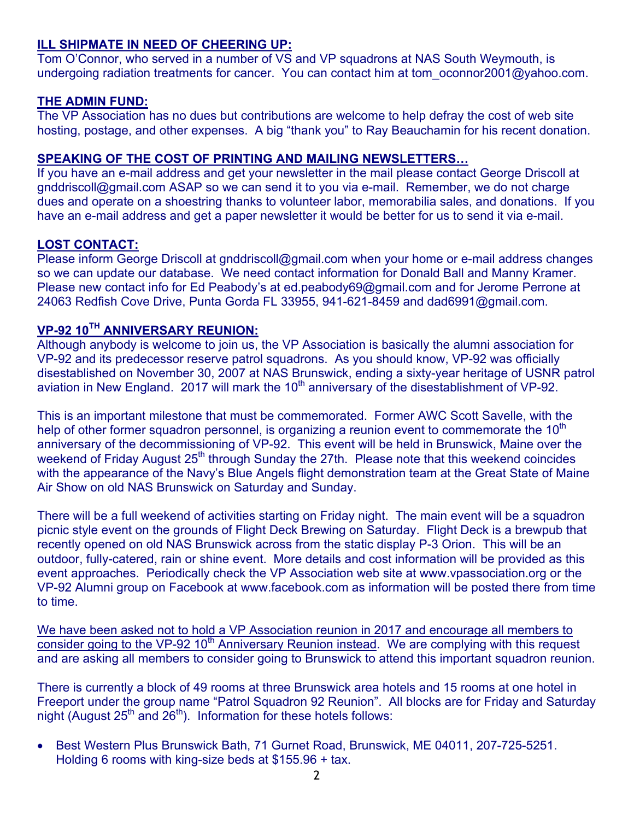# **ILL SHIPMATE IN NEED OF CHEERING UP:**

Tom O'Connor, who served in a number of VS and VP squadrons at NAS South Weymouth, is undergoing radiation treatments for cancer. You can contact him at tom\_oconnor2001@yahoo.com.

# **THE ADMIN FUND:**

The VP Association has no dues but contributions are welcome to help defray the cost of web site hosting, postage, and other expenses. A big "thank you" to Ray Beauchamin for his recent donation.

## **SPEAKING OF THE COST OF PRINTING AND MAILING NEWSLETTERS…**

If you have an e-mail address and get your newsletter in the mail please contact George Driscoll at gnddriscoll@gmail.com ASAP so we can send it to you via e-mail. Remember, we do not charge dues and operate on a shoestring thanks to volunteer labor, memorabilia sales, and donations. If you have an e-mail address and get a paper newsletter it would be better for us to send it via e-mail.

# **LOST CONTACT:**

Please inform George Driscoll at gnddriscoll@gmail.com when your home or e-mail address changes so we can update our database. We need contact information for Donald Ball and Manny Kramer. Please new contact info for Ed Peabody's at ed.peabody69@gmail.com and for Jerome Perrone at 24063 Redfish Cove Drive, Punta Gorda FL 33955, 941-621-8459 and dad6991@gmail.com.

# **VP-92 10TH ANNIVERSARY REUNION:**

Although anybody is welcome to join us, the VP Association is basically the alumni association for VP-92 and its predecessor reserve patrol squadrons. As you should know, VP-92 was officially disestablished on November 30, 2007 at NAS Brunswick, ending a sixty-year heritage of USNR patrol aviation in New England. 2017 will mark the  $10<sup>th</sup>$  anniversary of the disestablishment of VP-92.

This is an important milestone that must be commemorated. Former AWC Scott Savelle, with the help of other former squadron personnel, is organizing a reunion event to commemorate the  $10<sup>th</sup>$ anniversary of the decommissioning of VP-92. This event will be held in Brunswick, Maine over the weekend of Friday August 25<sup>th</sup> through Sunday the 27th. Please note that this weekend coincides with the appearance of the Navy's Blue Angels flight demonstration team at the Great State of Maine Air Show on old NAS Brunswick on Saturday and Sunday.

There will be a full weekend of activities starting on Friday night. The main event will be a squadron picnic style event on the grounds of Flight Deck Brewing on Saturday. Flight Deck is a brewpub that recently opened on old NAS Brunswick across from the static display P-3 Orion. This will be an outdoor, fully-catered, rain or shine event. More details and cost information will be provided as this event approaches. Periodically check the VP Association web site at www.vpassociation.org or the VP-92 Alumni group on Facebook at www.facebook.com as information will be posted there from time to time.

We have been asked not to hold a VP Association reunion in 2017 and encourage all members to consider going to the VP-92 10<sup>th</sup> Anniversary Reunion instead. We are complying with this request and are asking all members to consider going to Brunswick to attend this important squadron reunion.

There is currently a block of 49 rooms at three Brunswick area hotels and 15 rooms at one hotel in Freeport under the group name "Patrol Squadron 92 Reunion". All blocks are for Friday and Saturday night (August  $25<sup>th</sup>$  and  $26<sup>th</sup>$ ). Information for these hotels follows:

• Best Western Plus Brunswick Bath, 71 Gurnet Road, Brunswick, ME 04011, 207-725-5251. Holding 6 rooms with king-size beds at \$155.96 + tax.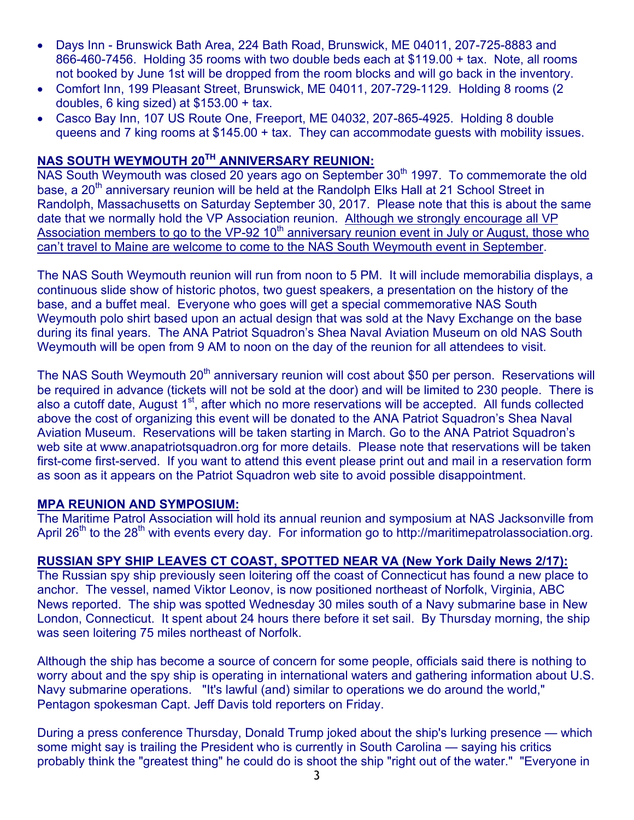- Days Inn Brunswick Bath Area, 224 Bath Road, Brunswick, ME 04011, 207-725-8883 and 866-460-7456. Holding 35 rooms with two double beds each at \$119.00 + tax. Note, all rooms not booked by June 1st will be dropped from the room blocks and will go back in the inventory.
- Comfort Inn, 199 Pleasant Street, Brunswick, ME 04011, 207-729-1129. Holding 8 rooms (2 doubles, 6 king sized) at \$153.00 + tax.
- Casco Bay Inn, 107 US Route One, Freeport, ME 04032, 207-865-4925. Holding 8 double queens and 7 king rooms at \$145.00 + tax. They can accommodate guests with mobility issues.

# **NAS SOUTH WEYMOUTH 20TH ANNIVERSARY REUNION:**

NAS South Weymouth was closed 20 years ago on September 30<sup>th</sup> 1997. To commemorate the old base, a 20<sup>th</sup> anniversary reunion will be held at the Randolph Elks Hall at 21 School Street in Randolph, Massachusetts on Saturday September 30, 2017. Please note that this is about the same date that we normally hold the VP Association reunion. Although we strongly encourage all VP Association members to go to the VP-92 10<sup>th</sup> anniversary reunion event in July or August, those who can't travel to Maine are welcome to come to the NAS South Weymouth event in September.

The NAS South Weymouth reunion will run from noon to 5 PM. It will include memorabilia displays, a continuous slide show of historic photos, two guest speakers, a presentation on the history of the base, and a buffet meal. Everyone who goes will get a special commemorative NAS South Weymouth polo shirt based upon an actual design that was sold at the Navy Exchange on the base during its final years. The ANA Patriot Squadron's Shea Naval Aviation Museum on old NAS South Weymouth will be open from 9 AM to noon on the day of the reunion for all attendees to visit.

The NAS South Weymouth 20<sup>th</sup> anniversary reunion will cost about \$50 per person. Reservations will be required in advance (tickets will not be sold at the door) and will be limited to 230 people. There is also a cutoff date, August 1<sup>st</sup>, after which no more reservations will be accepted. All funds collected above the cost of organizing this event will be donated to the ANA Patriot Squadron's Shea Naval Aviation Museum. Reservations will be taken starting in March. Go to the ANA Patriot Squadron's web site at www.anapatriotsquadron.org for more details. Please note that reservations will be taken first-come first-served. If you want to attend this event please print out and mail in a reservation form as soon as it appears on the Patriot Squadron web site to avoid possible disappointment.

#### **MPA REUNION AND SYMPOSIUM:**

The Maritime Patrol Association will hold its annual reunion and symposium at NAS Jacksonville from April 26<sup>th</sup> to the 28<sup>th</sup> with events every day. For information go to http://maritimepatrolassociation.org.

#### **RUSSIAN SPY SHIP LEAVES CT COAST, SPOTTED NEAR VA (New York Daily News 2/17):**

The Russian spy ship previously seen loitering off the coast of Connecticut has found a new place to anchor. The vessel, named Viktor Leonov, is now positioned northeast of Norfolk, Virginia, ABC News reported. The ship was spotted Wednesday 30 miles south of a Navy submarine base in New London, Connecticut. It spent about 24 hours there before it set sail. By Thursday morning, the ship was seen loitering 75 miles northeast of Norfolk.

Although the ship has become a source of concern for some people, officials said there is nothing to worry about and the spy ship is operating in international waters and gathering information about U.S. Navy submarine operations. "It's lawful (and) similar to operations we do around the world," Pentagon spokesman Capt. Jeff Davis told reporters on Friday.

During a press conference Thursday, Donald Trump joked about the ship's lurking presence — which some might say is trailing the President who is currently in South Carolina — saying his critics probably think the "greatest thing" he could do is shoot the ship "right out of the water." "Everyone in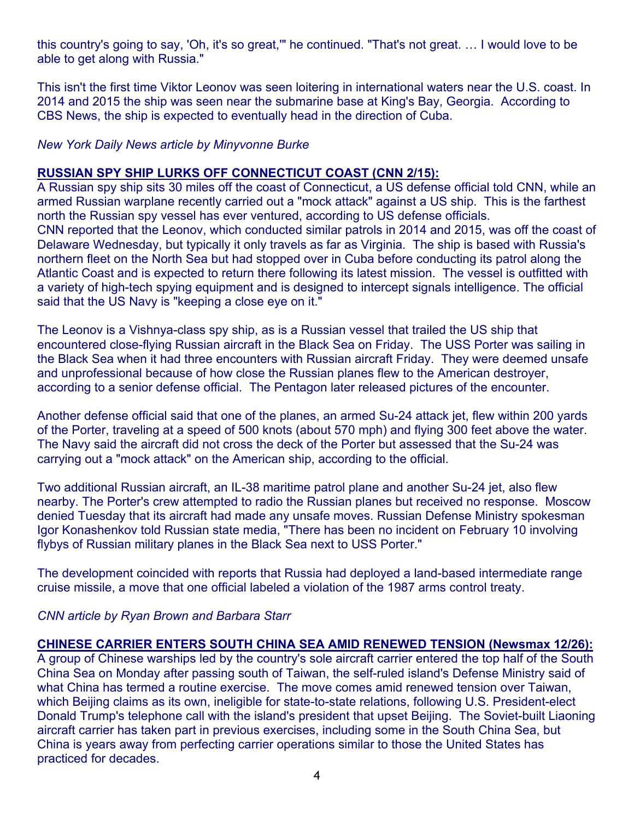this country's going to say, 'Oh, it's so great,'" he continued. "That's not great. … I would love to be able to get along with Russia."

This isn't the first time Viktor Leonov was seen loitering in international waters near the U.S. coast. In 2014 and 2015 the ship was seen near the submarine base at King's Bay, Georgia. According to CBS News, the ship is expected to eventually head in the direction of Cuba.

*New York Daily News article by Minyvonne Burke* 

# **RUSSIAN SPY SHIP LURKS OFF CONNECTICUT COAST (CNN 2/15):**

A Russian spy ship sits 30 miles off the coast of Connecticut, a US defense official told CNN, while an armed Russian warplane recently carried out a "mock attack" against a US ship. This is the farthest north the Russian spy vessel has ever ventured, according to US defense officials.

CNN reported that the Leonov, which conducted similar patrols in 2014 and 2015, was off the coast of Delaware Wednesday, but typically it only travels as far as Virginia. The ship is based with Russia's northern fleet on the North Sea but had stopped over in Cuba before conducting its patrol along the Atlantic Coast and is expected to return there following its latest mission. The vessel is outfitted with a variety of high-tech spying equipment and is designed to intercept signals intelligence. The official said that the US Navy is "keeping a close eye on it."

The Leonov is a Vishnya-class spy ship, as is a Russian vessel that trailed the US ship that encountered close-flying Russian aircraft in the Black Sea on Friday. The USS Porter was sailing in the Black Sea when it had three encounters with Russian aircraft Friday. They were deemed unsafe and unprofessional because of how close the Russian planes flew to the American destroyer, according to a senior defense official. The Pentagon later released pictures of the encounter.

Another defense official said that one of the planes, an armed Su-24 attack jet, flew within 200 yards of the Porter, traveling at a speed of 500 knots (about 570 mph) and flying 300 feet above the water. The Navy said the aircraft did not cross the deck of the Porter but assessed that the Su-24 was carrying out a "mock attack" on the American ship, according to the official.

Two additional Russian aircraft, an IL-38 maritime patrol plane and another Su-24 jet, also flew nearby. The Porter's crew attempted to radio the Russian planes but received no response. Moscow denied Tuesday that its aircraft had made any unsafe moves. Russian Defense Ministry spokesman Igor Konashenkov told Russian state media, "There has been no incident on February 10 involving flybys of Russian military planes in the Black Sea next to USS Porter."

The development coincided with reports that Russia had deployed a land-based intermediate range cruise missile, a move that one official labeled a violation of the 1987 arms control treaty.

# *CNN article by Ryan Brown and Barbara Starr*

# **CHINESE CARRIER ENTERS SOUTH CHINA SEA AMID RENEWED TENSION (Newsmax 12/26):**

A group of Chinese warships led by the country's sole aircraft carrier entered the top half of the South China Sea on Monday after passing south of Taiwan, the self-ruled island's Defense Ministry said of what China has termed a routine exercise. The move comes amid renewed tension over Taiwan, which Beijing claims as its own, ineligible for state-to-state relations, following U.S. President-elect Donald Trump's telephone call with the island's president that upset Beijing. The Soviet-built Liaoning aircraft carrier has taken part in previous exercises, including some in the South China Sea, but China is years away from perfecting carrier operations similar to those the United States has practiced for decades.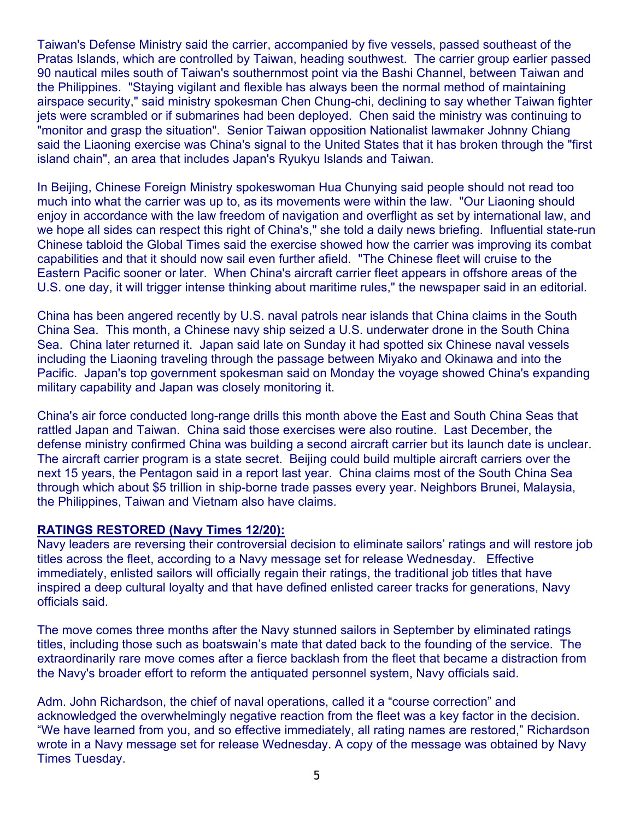Taiwan's Defense Ministry said the carrier, accompanied by five vessels, passed southeast of the Pratas Islands, which are controlled by Taiwan, heading southwest. The carrier group earlier passed 90 nautical miles south of Taiwan's southernmost point via the Bashi Channel, between Taiwan and the Philippines. "Staying vigilant and flexible has always been the normal method of maintaining airspace security," said ministry spokesman Chen Chung-chi, declining to say whether Taiwan fighter jets were scrambled or if submarines had been deployed. Chen said the ministry was continuing to "monitor and grasp the situation". Senior Taiwan opposition Nationalist lawmaker Johnny Chiang said the Liaoning exercise was China's signal to the United States that it has broken through the "first island chain", an area that includes Japan's Ryukyu Islands and Taiwan.

In Beijing, Chinese Foreign Ministry spokeswoman Hua Chunying said people should not read too much into what the carrier was up to, as its movements were within the law. "Our Liaoning should enjoy in accordance with the law freedom of navigation and overflight as set by international law, and we hope all sides can respect this right of China's," she told a daily news briefing. Influential state-run Chinese tabloid the Global Times said the exercise showed how the carrier was improving its combat capabilities and that it should now sail even further afield. "The Chinese fleet will cruise to the Eastern Pacific sooner or later. When China's aircraft carrier fleet appears in offshore areas of the U.S. one day, it will trigger intense thinking about maritime rules," the newspaper said in an editorial.

China has been angered recently by U.S. naval patrols near islands that China claims in the South China Sea. This month, a Chinese navy ship seized a U.S. underwater drone in the South China Sea. China later returned it. Japan said late on Sunday it had spotted six Chinese naval vessels including the Liaoning traveling through the passage between Miyako and Okinawa and into the Pacific. Japan's top government spokesman said on Monday the voyage showed China's expanding military capability and Japan was closely monitoring it.

China's air force conducted long-range drills this month above the East and South China Seas that rattled Japan and Taiwan. China said those exercises were also routine. Last December, the defense ministry confirmed China was building a second aircraft carrier but its launch date is unclear. The aircraft carrier program is a state secret. Beijing could build multiple aircraft carriers over the next 15 years, the Pentagon said in a report last year. China claims most of the South China Sea through which about \$5 trillion in ship-borne trade passes every year. Neighbors Brunei, Malaysia, the Philippines, Taiwan and Vietnam also have claims.

# **RATINGS RESTORED (Navy Times 12/20):**

Navy leaders are reversing their controversial decision to eliminate sailors' ratings and will restore job titles across the fleet, according to a Navy message set for release Wednesday. Effective immediately, enlisted sailors will officially regain their ratings, the traditional job titles that have inspired a deep cultural loyalty and that have defined enlisted career tracks for generations, Navy officials said.

The move comes three months after the Navy stunned sailors in September by eliminated ratings titles, including those such as boatswain's mate that dated back to the founding of the service. The extraordinarily rare move comes after a fierce backlash from the fleet that became a distraction from the Navy's broader effort to reform the antiquated personnel system, Navy officials said.

Adm. John Richardson, the chief of naval operations, called it a "course correction" and acknowledged the overwhelmingly negative reaction from the fleet was a key factor in the decision. "We have learned from you, and so effective immediately, all rating names are restored," Richardson wrote in a Navy message set for release Wednesday. A copy of the message was obtained by Navy Times Tuesday.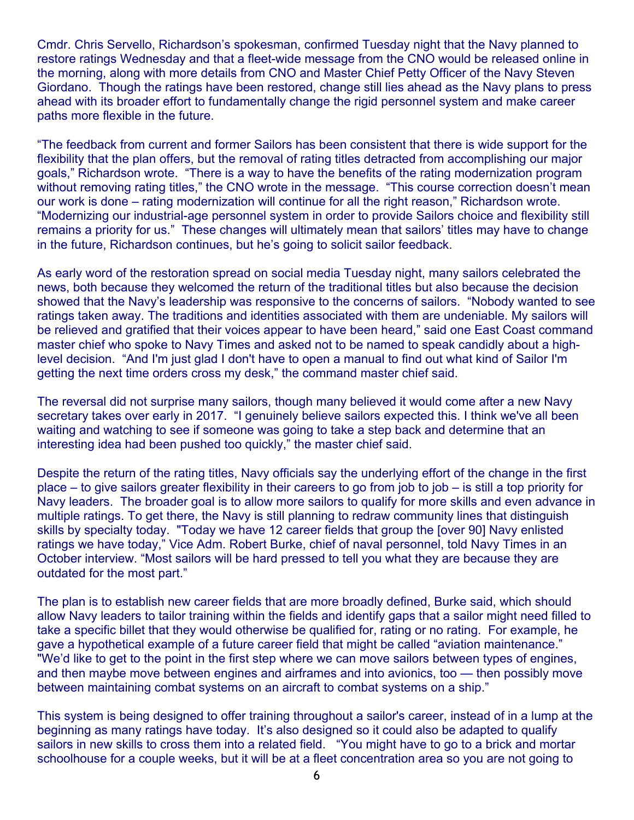Cmdr. Chris Servello, Richardson's spokesman, confirmed Tuesday night that the Navy planned to restore ratings Wednesday and that a fleet-wide message from the CNO would be released online in the morning, along with more details from CNO and Master Chief Petty Officer of the Navy Steven Giordano. Though the ratings have been restored, change still lies ahead as the Navy plans to press ahead with its broader effort to fundamentally change the rigid personnel system and make career paths more flexible in the future.

"The feedback from current and former Sailors has been consistent that there is wide support for the flexibility that the plan offers, but the removal of rating titles detracted from accomplishing our major goals," Richardson wrote. "There is a way to have the benefits of the rating modernization program without removing rating titles," the CNO wrote in the message. "This course correction doesn't mean our work is done – rating modernization will continue for all the right reason," Richardson wrote. "Modernizing our industrial-age personnel system in order to provide Sailors choice and flexibility still remains a priority for us." These changes will ultimately mean that sailors' titles may have to change in the future, Richardson continues, but he's going to solicit sailor feedback.

As early word of the restoration spread on social media Tuesday night, many sailors celebrated the news, both because they welcomed the return of the traditional titles but also because the decision showed that the Navy's leadership was responsive to the concerns of sailors. "Nobody wanted to see ratings taken away. The traditions and identities associated with them are undeniable. My sailors will be relieved and gratified that their voices appear to have been heard," said one East Coast command master chief who spoke to Navy Times and asked not to be named to speak candidly about a highlevel decision. "And I'm just glad I don't have to open a manual to find out what kind of Sailor I'm getting the next time orders cross my desk," the command master chief said.

The reversal did not surprise many sailors, though many believed it would come after a new Navy secretary takes over early in 2017. "I genuinely believe sailors expected this. I think we've all been waiting and watching to see if someone was going to take a step back and determine that an interesting idea had been pushed too quickly," the master chief said.

Despite the return of the rating titles, Navy officials say the underlying effort of the change in the first place – to give sailors greater flexibility in their careers to go from job to job – is still a top priority for Navy leaders. The broader goal is to allow more sailors to qualify for more skills and even advance in multiple ratings. To get there, the Navy is still planning to redraw community lines that distinguish skills by specialty today. "Today we have 12 career fields that group the [over 90] Navy enlisted ratings we have today," Vice Adm. Robert Burke, chief of naval personnel, told Navy Times in an October interview. "Most sailors will be hard pressed to tell you what they are because they are outdated for the most part."

The plan is to establish new career fields that are more broadly defined, Burke said, which should allow Navy leaders to tailor training within the fields and identify gaps that a sailor might need filled to take a specific billet that they would otherwise be qualified for, rating or no rating. For example, he gave a hypothetical example of a future career field that might be called "aviation maintenance." "We'd like to get to the point in the first step where we can move sailors between types of engines, and then maybe move between engines and airframes and into avionics, too — then possibly move between maintaining combat systems on an aircraft to combat systems on a ship."

This system is being designed to offer training throughout a sailor's career, instead of in a lump at the beginning as many ratings have today. It's also designed so it could also be adapted to qualify sailors in new skills to cross them into a related field. "You might have to go to a brick and mortar schoolhouse for a couple weeks, but it will be at a fleet concentration area so you are not going to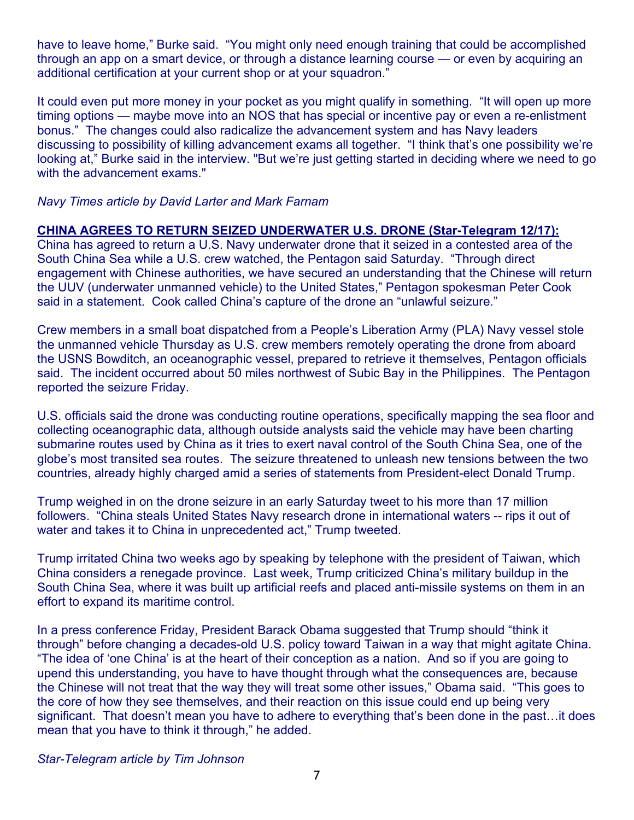have to leave home," Burke said. "You might only need enough training that could be accomplished through an app on a smart device, or through a distance learning course — or even by acquiring an additional certification at your current shop or at your squadron."

It could even put more money in your pocket as you might qualify in something. "It will open up more timing options — maybe move into an NOS that has special or incentive pay or even a re-enlistment bonus." The changes could also radicalize the advancement system and has Navy leaders discussing to possibility of killing advancement exams all together. "I think that's one possibility we're looking at," Burke said in the interview. "But we're just getting started in deciding where we need to go with the advancement exams."

### *Navy Times article by David Larter and Mark Farnam*

### **CHINA AGREES TO RETURN SEIZED UNDERWATER U.S. DRONE (Star-Telegram 12/17):**

China has agreed to return a U.S. Navy underwater drone that it seized in a contested area of the South China Sea while a U.S. crew watched, the Pentagon said Saturday. "Through direct engagement with Chinese authorities, we have secured an understanding that the Chinese will return the UUV (underwater unmanned vehicle) to the United States," Pentagon spokesman Peter Cook said in a statement. Cook called China's capture of the drone an "unlawful seizure."

Crew members in a small boat dispatched from a People's Liberation Army (PLA) Navy vessel stole the unmanned vehicle Thursday as U.S. crew members remotely operating the drone from aboard the USNS Bowditch, an oceanographic vessel, prepared to retrieve it themselves, Pentagon officials said. The incident occurred about 50 miles northwest of Subic Bay in the Philippines. The Pentagon reported the seizure Friday.

U.S. officials said the drone was conducting routine operations, specifically mapping the sea floor and collecting oceanographic data, although outside analysts said the vehicle may have been charting submarine routes used by China as it tries to exert naval control of the South China Sea, one of the globe's most transited sea routes. The seizure threatened to unleash new tensions between the two countries, already highly charged amid a series of statements from President-elect Donald Trump.

Trump weighed in on the drone seizure in an early Saturday tweet to his more than 17 million followers. "China steals United States Navy research drone in international waters -- rips it out of water and takes it to China in unprecedented act," Trump tweeted.

Trump irritated China two weeks ago by speaking by telephone with the president of Taiwan, which China considers a renegade province. Last week, Trump criticized China's military buildup in the South China Sea, where it was built up artificial reefs and placed anti-missile systems on them in an effort to expand its maritime control.

In a press conference Friday, President Barack Obama suggested that Trump should "think it through" before changing a decades-old U.S. policy toward Taiwan in a way that might agitate China. "The idea of 'one China' is at the heart of their conception as a nation. And so if you are going to upend this understanding, you have to have thought through what the consequences are, because the Chinese will not treat that the way they will treat some other issues," Obama said. "This goes to the core of how they see themselves, and their reaction on this issue could end up being very significant. That doesn't mean you have to adhere to everything that's been done in the past…it does mean that you have to think it through," he added.

*Star-Telegram article by Tim Johnson*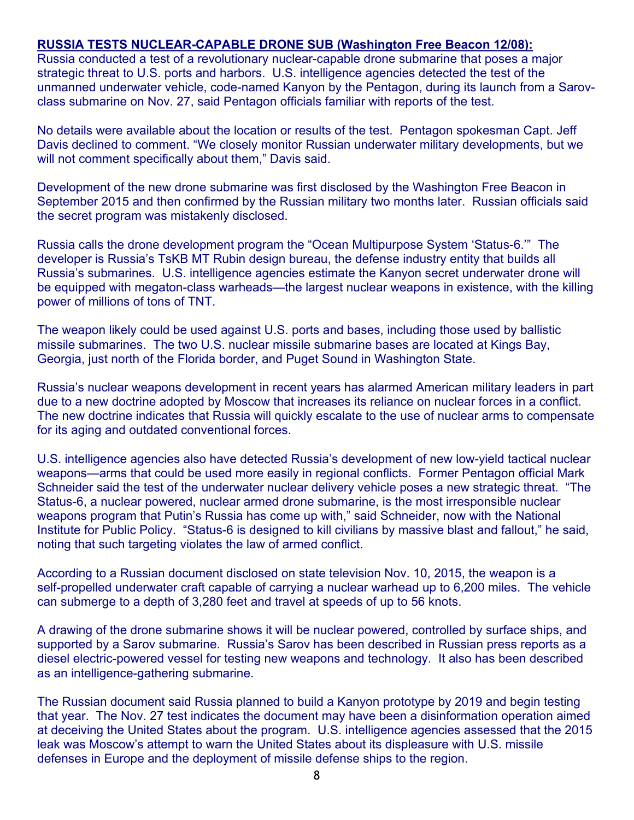# **RUSSIA TESTS NUCLEAR-CAPABLE DRONE SUB (Washington Free Beacon 12/08):**

Russia conducted a test of a revolutionary nuclear-capable drone submarine that poses a major strategic threat to U.S. ports and harbors. U.S. intelligence agencies detected the test of the unmanned underwater vehicle, code-named Kanyon by the Pentagon, during its launch from a Sarovclass submarine on Nov. 27, said Pentagon officials familiar with reports of the test.

No details were available about the location or results of the test. Pentagon spokesman Capt. Jeff Davis declined to comment. "We closely monitor Russian underwater military developments, but we will not comment specifically about them," Davis said.

Development of the new drone submarine was first disclosed by the Washington Free Beacon in September 2015 and then confirmed by the Russian military two months later. Russian officials said the secret program was mistakenly disclosed.

Russia calls the drone development program the "Ocean Multipurpose System 'Status-6.'" The developer is Russia's TsKB MT Rubin design bureau, the defense industry entity that builds all Russia's submarines. U.S. intelligence agencies estimate the Kanyon secret underwater drone will be equipped with megaton-class warheads—the largest nuclear weapons in existence, with the killing power of millions of tons of TNT.

The weapon likely could be used against U.S. ports and bases, including those used by ballistic missile submarines. The two U.S. nuclear missile submarine bases are located at Kings Bay, Georgia, just north of the Florida border, and Puget Sound in Washington State.

Russia's nuclear weapons development in recent years has alarmed American military leaders in part due to a new doctrine adopted by Moscow that increases its reliance on nuclear forces in a conflict. The new doctrine indicates that Russia will quickly escalate to the use of nuclear arms to compensate for its aging and outdated conventional forces.

U.S. intelligence agencies also have detected Russia's development of new low-yield tactical nuclear weapons—arms that could be used more easily in regional conflicts. Former Pentagon official Mark Schneider said the test of the underwater nuclear delivery vehicle poses a new strategic threat. "The Status-6, a nuclear powered, nuclear armed drone submarine, is the most irresponsible nuclear weapons program that Putin's Russia has come up with," said Schneider, now with the National Institute for Public Policy. "Status-6 is designed to kill civilians by massive blast and fallout," he said, noting that such targeting violates the law of armed conflict.

According to a Russian document disclosed on state television Nov. 10, 2015, the weapon is a self-propelled underwater craft capable of carrying a nuclear warhead up to 6,200 miles. The vehicle can submerge to a depth of 3,280 feet and travel at speeds of up to 56 knots.

A drawing of the drone submarine shows it will be nuclear powered, controlled by surface ships, and supported by a Sarov submarine. Russia's Sarov has been described in Russian press reports as a diesel electric-powered vessel for testing new weapons and technology. It also has been described as an intelligence-gathering submarine.

The Russian document said Russia planned to build a Kanyon prototype by 2019 and begin testing that year. The Nov. 27 test indicates the document may have been a disinformation operation aimed at deceiving the United States about the program. U.S. intelligence agencies assessed that the 2015 leak was Moscow's attempt to warn the United States about its displeasure with U.S. missile defenses in Europe and the deployment of missile defense ships to the region.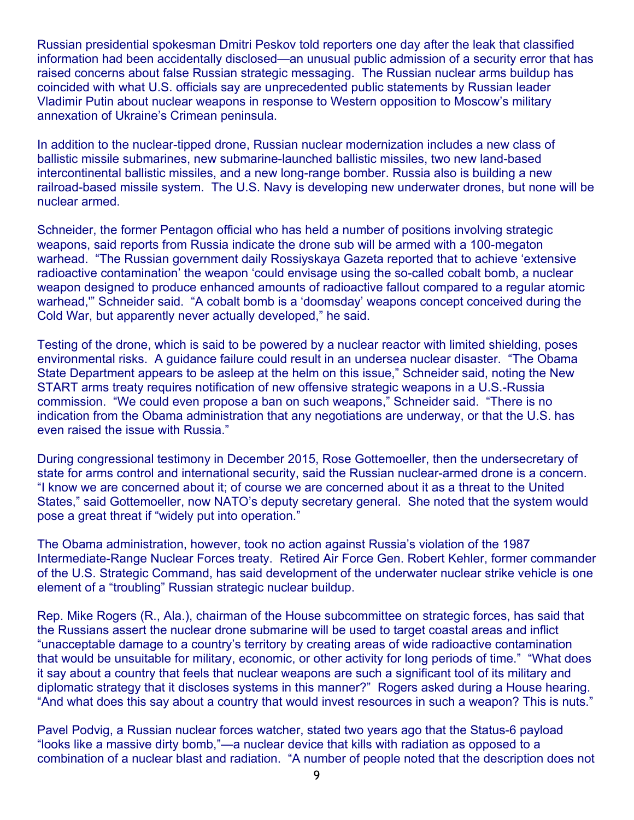Russian presidential spokesman Dmitri Peskov told reporters one day after the leak that classified information had been accidentally disclosed—an unusual public admission of a security error that has raised concerns about false Russian strategic messaging. The Russian nuclear arms buildup has coincided with what U.S. officials say are unprecedented public statements by Russian leader Vladimir Putin about nuclear weapons in response to Western opposition to Moscow's military annexation of Ukraine's Crimean peninsula.

In addition to the nuclear-tipped drone, Russian nuclear modernization includes a new class of ballistic missile submarines, new submarine-launched ballistic missiles, two new land-based intercontinental ballistic missiles, and a new long-range bomber. Russia also is building a new railroad-based missile system. The U.S. Navy is developing new underwater drones, but none will be nuclear armed.

Schneider, the former Pentagon official who has held a number of positions involving strategic weapons, said reports from Russia indicate the drone sub will be armed with a 100-megaton warhead. "The Russian government daily Rossiyskaya Gazeta reported that to achieve 'extensive radioactive contamination' the weapon 'could envisage using the so-called cobalt bomb, a nuclear weapon designed to produce enhanced amounts of radioactive fallout compared to a regular atomic warhead,'" Schneider said. "A cobalt bomb is a 'doomsday' weapons concept conceived during the Cold War, but apparently never actually developed," he said.

Testing of the drone, which is said to be powered by a nuclear reactor with limited shielding, poses environmental risks. A guidance failure could result in an undersea nuclear disaster. "The Obama State Department appears to be asleep at the helm on this issue," Schneider said, noting the New START arms treaty requires notification of new offensive strategic weapons in a U.S.-Russia commission. "We could even propose a ban on such weapons," Schneider said. "There is no indication from the Obama administration that any negotiations are underway, or that the U.S. has even raised the issue with Russia."

During congressional testimony in December 2015, Rose Gottemoeller, then the undersecretary of state for arms control and international security, said the Russian nuclear-armed drone is a concern. "I know we are concerned about it; of course we are concerned about it as a threat to the United States," said Gottemoeller, now NATO's deputy secretary general. She noted that the system would pose a great threat if "widely put into operation."

The Obama administration, however, took no action against Russia's violation of the 1987 Intermediate-Range Nuclear Forces treaty. Retired Air Force Gen. Robert Kehler, former commander of the U.S. Strategic Command, has said development of the underwater nuclear strike vehicle is one element of a "troubling" Russian strategic nuclear buildup.

Rep. Mike Rogers (R., Ala.), chairman of the House subcommittee on strategic forces, has said that the Russians assert the nuclear drone submarine will be used to target coastal areas and inflict "unacceptable damage to a country's territory by creating areas of wide radioactive contamination that would be unsuitable for military, economic, or other activity for long periods of time." "What does it say about a country that feels that nuclear weapons are such a significant tool of its military and diplomatic strategy that it discloses systems in this manner?" Rogers asked during a House hearing. "And what does this say about a country that would invest resources in such a weapon? This is nuts."

Pavel Podvig, a Russian nuclear forces watcher, stated two years ago that the Status-6 payload "looks like a massive dirty bomb,"—a nuclear device that kills with radiation as opposed to a combination of a nuclear blast and radiation. "A number of people noted that the description does not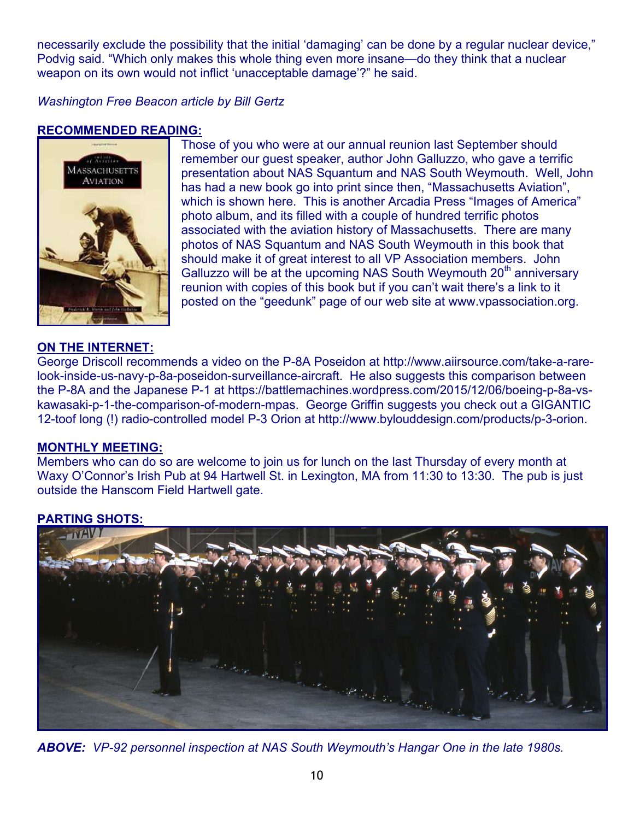necessarily exclude the possibility that the initial 'damaging' can be done by a regular nuclear device," Podvig said. "Which only makes this whole thing even more insane—do they think that a nuclear weapon on its own would not inflict 'unacceptable damage'?" he said.

*Washington Free Beacon article by Bill Gertz* 

# **RECOMMENDED READING:**



Those of you who were at our annual reunion last September should remember our guest speaker, author John Galluzzo, who gave a terrific presentation about NAS Squantum and NAS South Weymouth. Well, John has had a new book go into print since then, "Massachusetts Aviation", which is shown here. This is another Arcadia Press "Images of America" photo album, and its filled with a couple of hundred terrific photos associated with the aviation history of Massachusetts. There are many photos of NAS Squantum and NAS South Weymouth in this book that should make it of great interest to all VP Association members. John Galluzzo will be at the upcoming NAS South Weymouth 20<sup>th</sup> anniversary reunion with copies of this book but if you can't wait there's a link to it posted on the "geedunk" page of our web site at www.vpassociation.org.

# **ON THE INTERNET:**

George Driscoll recommends a video on the P-8A Poseidon at http://www.aiirsource.com/take-a-rarelook-inside-us-navy-p-8a-poseidon-surveillance-aircraft. He also suggests this comparison between the P-8A and the Japanese P-1 at https://battlemachines.wordpress.com/2015/12/06/boeing-p-8a-vskawasaki-p-1-the-comparison-of-modern-mpas. George Griffin suggests you check out a GIGANTIC 12-toof long (!) radio-controlled model P-3 Orion at http://www.bylouddesign.com/products/p-3-orion.

# **MONTHLY MEETING:**

Members who can do so are welcome to join us for lunch on the last Thursday of every month at Waxy O'Connor's Irish Pub at 94 Hartwell St. in Lexington, MA from 11:30 to 13:30. The pub is just outside the Hanscom Field Hartwell gate.

# **NAVY** and and the sea

# **PARTING SHOTS:**

*ABOVE: VP-92 personnel inspection at NAS South Weymouth's Hangar One in the late 1980s.*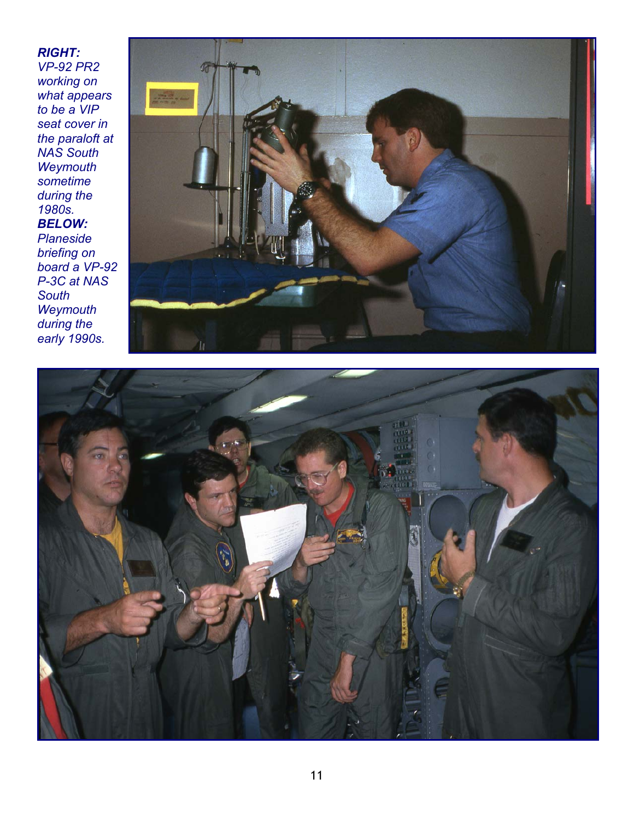# *RIGHT:*

*VP-92 PR2 working on what appears to be a VIP seat cover in the paraloft at NAS South Weymouth sometime during the 1980s. BELOW: Planeside briefing on board a VP-92 P-3C at NAS South Weymouth during the early 1990s.*